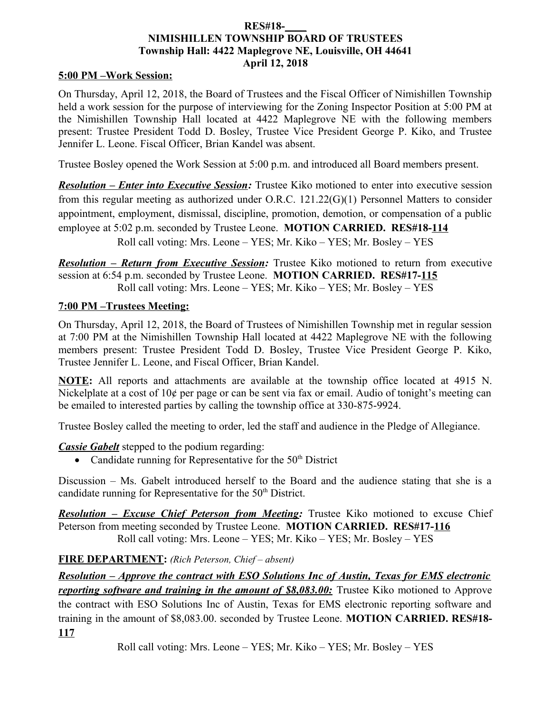## **RES#18-\_\_\_\_ NIMISHILLEN TOWNSHIP BOARD OF TRUSTEES Township Hall: 4422 Maplegrove NE, Louisville, OH 44641 April 12, 2018**

### **5:00 PM –Work Session:**

On Thursday, April 12, 2018, the Board of Trustees and the Fiscal Officer of Nimishillen Township held a work session for the purpose of interviewing for the Zoning Inspector Position at 5:00 PM at the Nimishillen Township Hall located at 4422 Maplegrove NE with the following members present: Trustee President Todd D. Bosley, Trustee Vice President George P. Kiko, and Trustee Jennifer L. Leone. Fiscal Officer, Brian Kandel was absent.

Trustee Bosley opened the Work Session at 5:00 p.m. and introduced all Board members present.

*Resolution – Enter into Executive Session:* Trustee Kiko motioned to enter into executive session from this regular meeting as authorized under O.R.C. 121.22(G)(1) Personnel Matters to consider appointment, employment, dismissal, discipline, promotion, demotion, or compensation of a public employee at 5:02 p.m. seconded by Trustee Leone. **MOTION CARRIED. RES#18-114** Roll call voting: Mrs. Leone – YES; Mr. Kiko – YES; Mr. Bosley – YES

*Resolution – Return from Executive Session:* Trustee Kiko motioned to return from executive session at 6:54 p.m. seconded by Trustee Leone. **MOTION CARRIED. RES#17-115** Roll call voting: Mrs. Leone – YES; Mr. Kiko – YES; Mr. Bosley – YES

## **7:00 PM –Trustees Meeting:**

On Thursday, April 12, 2018, the Board of Trustees of Nimishillen Township met in regular session at 7:00 PM at the Nimishillen Township Hall located at 4422 Maplegrove NE with the following members present: Trustee President Todd D. Bosley, Trustee Vice President George P. Kiko, Trustee Jennifer L. Leone, and Fiscal Officer, Brian Kandel.

**NOTE:** All reports and attachments are available at the township office located at 4915 N. Nickelplate at a cost of 10¢ per page or can be sent via fax or email. Audio of tonight's meeting can be emailed to interested parties by calling the township office at 330-875-9924.

Trustee Bosley called the meeting to order, led the staff and audience in the Pledge of Allegiance.

*Cassie Gabelt* stepped to the podium regarding:

• Candidate running for Representative for the  $50<sup>th</sup>$  District

Discussion – Ms. Gabelt introduced herself to the Board and the audience stating that she is a candidate running for Representative for the  $50<sup>th</sup>$  District.

*Resolution – Excuse Chief Peterson from Meeting:* Trustee Kiko motioned to excuse Chief Peterson from meeting seconded by Trustee Leone. **MOTION CARRIED. RES#17-116** Roll call voting: Mrs. Leone – YES; Mr. Kiko – YES; Mr. Bosley – YES

## **FIRE DEPARTMENT:** *(Rich Peterson, Chief – absent)*

*Resolution – Approve the contract with ESO Solutions Inc of Austin, Texas for EMS electronic reporting software and training in the amount of \$8,083.00:* Trustee Kiko motioned to Approve the contract with ESO Solutions Inc of Austin, Texas for EMS electronic reporting software and training in the amount of \$8,083.00. seconded by Trustee Leone. **MOTION CARRIED. RES#18- 117**

Roll call voting: Mrs. Leone – YES; Mr. Kiko – YES; Mr. Bosley – YES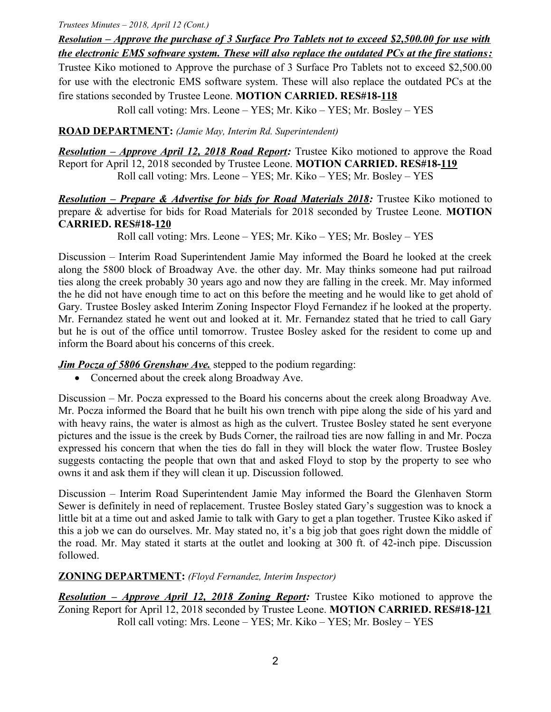#### *Trustees Minutes – 2018, April 12 (Cont.)*

 *Resolution –Approve the purchase of 3 Surface Pro Tablets not to exceed \$2,500.00 for use with the electronic EMS software system. These will also replace the outdated PCs at the fire stations:*

Trustee Kiko motioned to Approve the purchase of 3 Surface Pro Tablets not to exceed \$2,500.00 for use with the electronic EMS software system. These will also replace the outdated PCs at the fire stations seconded by Trustee Leone. **MOTION CARRIED. RES#18-118**

Roll call voting: Mrs. Leone – YES; Mr. Kiko – YES; Mr. Bosley – YES

**ROAD DEPARTMENT:** *(Jamie May, Interim Rd. Superintendent)*

*Resolution – Approve April 12, 2018 Road Report:* Trustee Kiko motioned to approve the Road Report for April 12, 2018 seconded by Trustee Leone. **MOTION CARRIED. RES#18-119** Roll call voting: Mrs. Leone – YES; Mr. Kiko – YES; Mr. Bosley – YES

*Resolution – Prepare & Advertise for bids for Road Materials 2018:* **Trustee Kiko motioned to** prepare & advertise for bids for Road Materials for 2018 seconded by Trustee Leone. **MOTION CARRIED. RES#18-120**

Roll call voting: Mrs. Leone – YES; Mr. Kiko – YES; Mr. Bosley – YES

Discussion – Interim Road Superintendent Jamie May informed the Board he looked at the creek along the 5800 block of Broadway Ave. the other day. Mr. May thinks someone had put railroad ties along the creek probably 30 years ago and now they are falling in the creek. Mr. May informed the he did not have enough time to act on this before the meeting and he would like to get ahold of Gary. Trustee Bosley asked Interim Zoning Inspector Floyd Fernandez if he looked at the property. Mr. Fernandez stated he went out and looked at it. Mr. Fernandez stated that he tried to call Gary but he is out of the office until tomorrow. Trustee Bosley asked for the resident to come up and inform the Board about his concerns of this creek.

*Jim Pocza of 5806 Grenshaw Ave.* stepped to the podium regarding:

• Concerned about the creek along Broadway Ave.

Discussion – Mr. Pocza expressed to the Board his concerns about the creek along Broadway Ave. Mr. Pocza informed the Board that he built his own trench with pipe along the side of his yard and with heavy rains, the water is almost as high as the culvert. Trustee Bosley stated he sent everyone pictures and the issue is the creek by Buds Corner, the railroad ties are now falling in and Mr. Pocza expressed his concern that when the ties do fall in they will block the water flow. Trustee Bosley suggests contacting the people that own that and asked Floyd to stop by the property to see who owns it and ask them if they will clean it up. Discussion followed.

Discussion – Interim Road Superintendent Jamie May informed the Board the Glenhaven Storm Sewer is definitely in need of replacement. Trustee Bosley stated Gary's suggestion was to knock a little bit at a time out and asked Jamie to talk with Gary to get a plan together. Trustee Kiko asked if this a job we can do ourselves. Mr. May stated no, it's a big job that goes right down the middle of the road. Mr. May stated it starts at the outlet and looking at 300 ft. of 42-inch pipe. Discussion followed.

# **ZONING DEPARTMENT:** *(Floyd Fernandez, Interim Inspector)*

*Resolution – Approve April 12, 2018 Zoning Report:* Trustee Kiko motioned to approve the Zoning Report for April 12, 2018 seconded by Trustee Leone. **MOTION CARRIED. RES#18-121** Roll call voting: Mrs. Leone – YES; Mr. Kiko – YES; Mr. Bosley – YES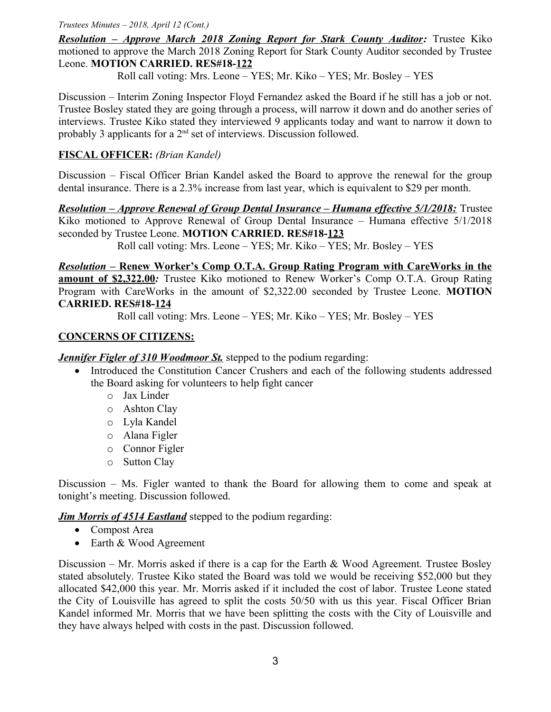#### *Trustees Minutes – 2018, April 12 (Cont.)*

*Resolution – Approve March 2018 Zoning Report for Stark County Auditor:* Trustee Kiko motioned to approve the March 2018 Zoning Report for Stark County Auditor seconded by Trustee Leone. **MOTION CARRIED. RES#18-122**

Roll call voting: Mrs. Leone – YES; Mr. Kiko – YES; Mr. Bosley – YES

Discussion – Interim Zoning Inspector Floyd Fernandez asked the Board if he still has a job or not. Trustee Bosley stated they are going through a process, will narrow it down and do another series of interviews. Trustee Kiko stated they interviewed 9 applicants today and want to narrow it down to probably 3 applicants for a  $2<sup>nd</sup>$  set of interviews. Discussion followed.

# **FISCAL OFFICER:** *(Brian Kandel)*

Discussion – Fiscal Officer Brian Kandel asked the Board to approve the renewal for the group dental insurance. There is a 2.3% increase from last year, which is equivalent to \$29 per month.

 *Resolution – Approve Renewal of Group Dental Insurance – Humana effective 5/1/2018:* Trustee Kiko motioned to Approve Renewal of Group Dental Insurance – Humana effective 5/1/2018 seconded by Trustee Leone. **MOTION CARRIED. RES#18-123**

Roll call voting: Mrs. Leone – YES; Mr. Kiko – YES; Mr. Bosley – YES

 *Resolution –* **Renew Worker's Comp O.T.A. Group Rating Program with CareWorks in the amount of \$2,322.00***:* Trustee Kiko motioned to Renew Worker's Comp O.T.A. Group Rating Program with CareWorks in the amount of \$2,322.00 seconded by Trustee Leone. **MOTION CARRIED. RES#18-124**

Roll call voting: Mrs. Leone – YES; Mr. Kiko – YES; Mr. Bosley – YES

## **CONCERNS OF CITIZENS:**

*Jennifer Figler of 310 Woodmoor St. stepped to the podium regarding:* 

- Introduced the Constitution Cancer Crushers and each of the following students addressed the Board asking for volunteers to help fight cancer
	- o Jax Linder
	- o Ashton Clay
	- o Lyla Kandel
	- o Alana Figler
	- o Connor Figler
	- o Sutton Clay

Discussion – Ms. Figler wanted to thank the Board for allowing them to come and speak at tonight's meeting. Discussion followed.

*Jim Morris of 4514 Eastland* stepped to the podium regarding:

- Compost Area
- Earth & Wood Agreement

Discussion – Mr. Morris asked if there is a cap for the Earth  $\&$  Wood Agreement. Trustee Bosley stated absolutely. Trustee Kiko stated the Board was told we would be receiving \$52,000 but they allocated \$42,000 this year. Mr. Morris asked if it included the cost of labor. Trustee Leone stated the City of Louisville has agreed to split the costs 50/50 with us this year. Fiscal Officer Brian Kandel informed Mr. Morris that we have been splitting the costs with the City of Louisville and they have always helped with costs in the past. Discussion followed.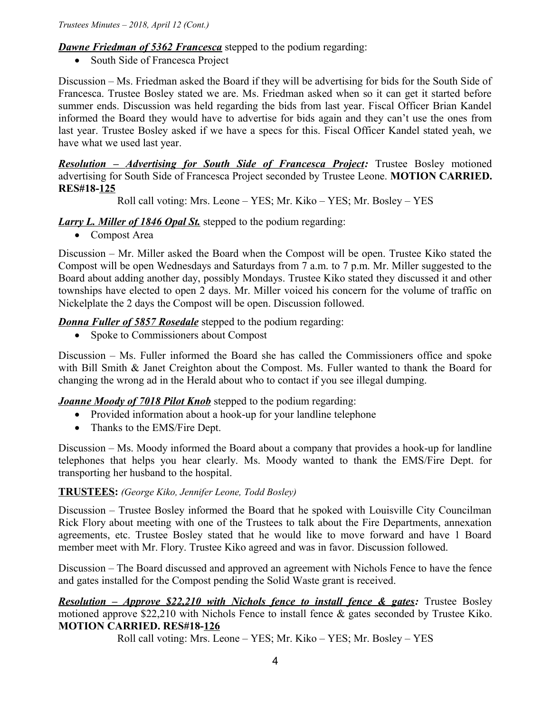*Dawne Friedman of 5362 Francesca* stepped to the podium regarding:

• South Side of Francesca Project

Discussion – Ms. Friedman asked the Board if they will be advertising for bids for the South Side of Francesca. Trustee Bosley stated we are. Ms. Friedman asked when so it can get it started before summer ends. Discussion was held regarding the bids from last year. Fiscal Officer Brian Kandel informed the Board they would have to advertise for bids again and they can't use the ones from last year. Trustee Bosley asked if we have a specs for this. Fiscal Officer Kandel stated yeah, we have what we used last year.

 *Resolution – Advertising for South Side of Francesca Project:* Trustee Bosley motioned advertising for South Side of Francesca Project seconded by Trustee Leone. **MOTION CARRIED. RES#18-125**

Roll call voting: Mrs. Leone – YES; Mr. Kiko – YES; Mr. Bosley – YES

# *Larry L. Miller of 1846 Opal St.* stepped to the podium regarding:

• Compost Area

Discussion – Mr. Miller asked the Board when the Compost will be open. Trustee Kiko stated the Compost will be open Wednesdays and Saturdays from 7 a.m. to 7 p.m. Mr. Miller suggested to the Board about adding another day, possibly Mondays. Trustee Kiko stated they discussed it and other townships have elected to open 2 days. Mr. Miller voiced his concern for the volume of traffic on Nickelplate the 2 days the Compost will be open. Discussion followed.

*Donna Fuller of 5857 Rosedale* stepped to the podium regarding:

• Spoke to Commissioners about Compost

Discussion – Ms. Fuller informed the Board she has called the Commissioners office and spoke with Bill Smith & Janet Creighton about the Compost. Ms. Fuller wanted to thank the Board for changing the wrong ad in the Herald about who to contact if you see illegal dumping.

*Joanne Moody of 7018 Pilot Knob* stepped to the podium regarding:

- Provided information about a hook-up for your landline telephone
- Thanks to the EMS/Fire Dept.

Discussion – Ms. Moody informed the Board about a company that provides a hook-up for landline telephones that helps you hear clearly. Ms. Moody wanted to thank the EMS/Fire Dept. for transporting her husband to the hospital.

# **TRUSTEES:** *(George Kiko, Jennifer Leone, Todd Bosley)*

Discussion – Trustee Bosley informed the Board that he spoked with Louisville City Councilman Rick Flory about meeting with one of the Trustees to talk about the Fire Departments, annexation agreements, etc. Trustee Bosley stated that he would like to move forward and have 1 Board member meet with Mr. Flory. Trustee Kiko agreed and was in favor. Discussion followed.

Discussion – The Board discussed and approved an agreement with Nichols Fence to have the fence and gates installed for the Compost pending the Solid Waste grant is received.

 *Resolution – Approve \$22,210 with Nichols fence to install fence & gates:* Trustee Bosley motioned approve \$22,210 with Nichols Fence to install fence & gates seconded by Trustee Kiko. **MOTION CARRIED. RES#18-126**

Roll call voting: Mrs. Leone – YES; Mr. Kiko – YES; Mr. Bosley – YES